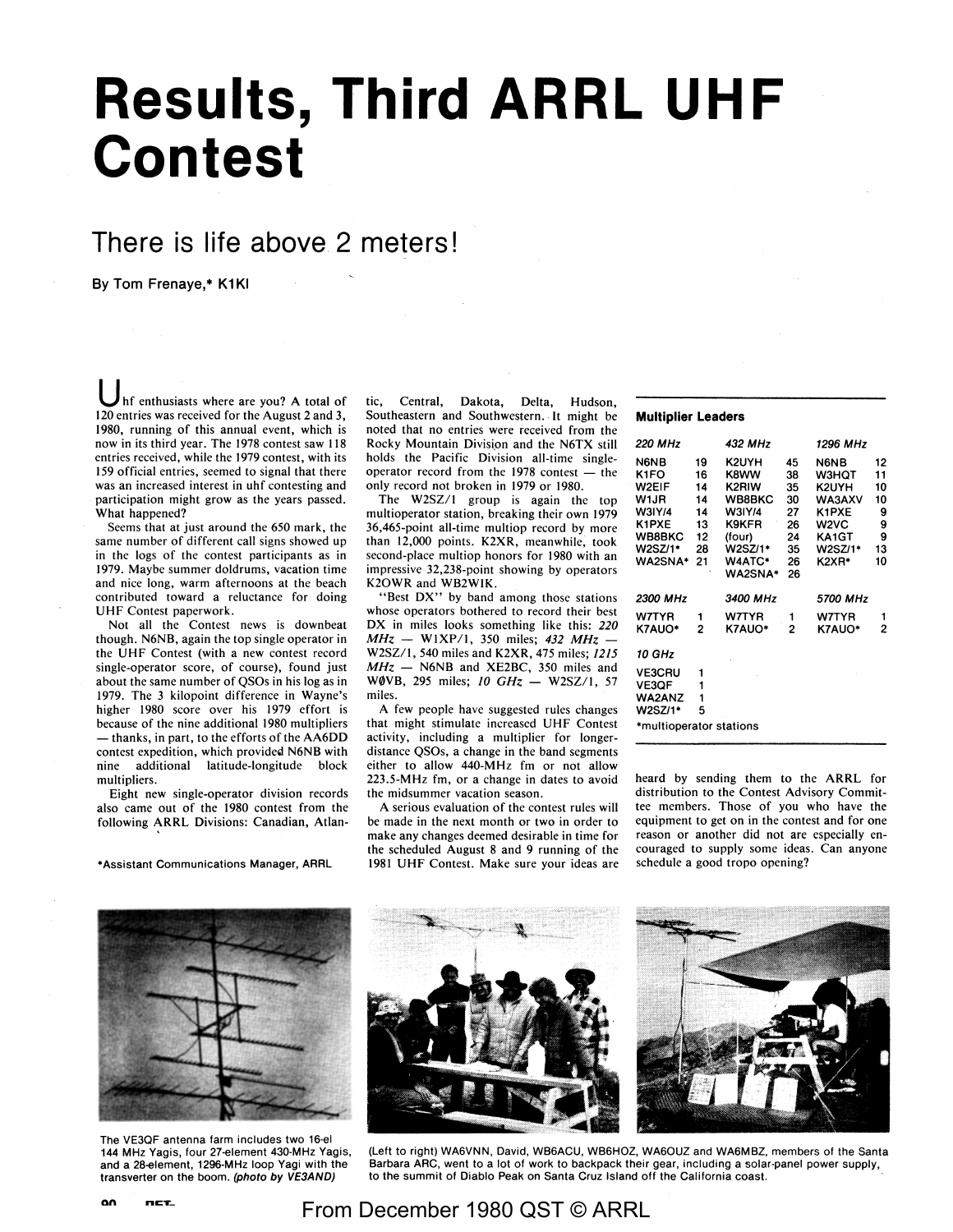# **Results, Third ARRL UHF Contest**

## **There is life above 2 meters!**

By Tom Frenaye,• **K1KI** 

Inf enthusiasts where are you? A total of 120 entries was received for the August 2 and 3, 1980, running of this annual event, which is now in its third year. The 1978 contest saw 118 entries received, while the 1979 contest, with its 159 official entries, seemed to signal that there was an increased interest in uhf contesting and participation might grow as the years passed. What happened?

Seems that at just around the 650 mark, the same number of different call signs showed up in the logs of the contest participants as in 1979. Maybe summer doldrums, vacation time and nice long, warm afternoons at the beach contributed toward a reluctance for doing UHF Contest paperwork.

Not all the Contest news is downbeat though. N6NB, again the top single operator in the UHF Contest (with a new contest record single-operator score, of course), found just about the same number of QSOs in his log as in 1979. The 3 kilopoint difference in Wayne's higher 1980 score over his 1979 effort is because of the nine additional 1980 multipliers - thanks, in part, to the efforts of the AA6DD contest expedition, which provided N6NB with nine additional latitude-longitude block multipliers.

Eight new single-operator division records also came out of the 1980 contest from the following ARRL Divisions: Canadian, Atlan-

•Assistant Communications Manager, ARRL

tic, Central, Dakota, Delta, Hudson, Southeastern and Southwestern. It might be noted that no entries were received from the Rocky Mountain Division and the N6TX still holds the Pacific Division all-time singleoperator record from the  $1978$  contest - the only record not broken in 1979 or 1980.

The W2SZ/1 group is again the top multioperator station, breaking their own 1979 36,465-point all-time multiop record by more than 12,000 points. **K2XR,** meanwhile, took second-place multiop honors for 1980 with an impressive 32,238-point showing by operators K20WR and WB2WIK.

"Best DX" by band among those stations whose operators bothered to record their best DX in miles looks something like this: *220 MHz* - WIXP/1, 350 miles; *432 MHz* - W2SZ/1, 540 miles and K2XR, 475 miles; *1215 MHz* - N6NB and XE2BC, 350 miles and **WØVB**, 295 miles; *10 GHz* - W2SZ/1, 57 miles.

**A** few people have suggested rules changes that might stimulate increased UHF Contest activity, including a multiplier for longerdistance QSOs, a change in the band segments either to allow 440-MHz fm or not allow 223.5-MHz fm, or a change in dates to avoid the midsummer vacation season.

**A** serious evaluation of the contest rules **will**  be made in the next month or two in order to make any changes deemed desirable in time for the scheduled August 8 and 9 running of the 1981 UHF Contest. Make sure your ideas are

**Multiplier Leaders** 

| 220 MHz                                                                                               |                                                    | 432 MHz                                                                                       |                                                          | 1296 MHz                                                                              |                                                 |  |  |  |  |
|-------------------------------------------------------------------------------------------------------|----------------------------------------------------|-----------------------------------------------------------------------------------------------|----------------------------------------------------------|---------------------------------------------------------------------------------------|-------------------------------------------------|--|--|--|--|
| N6NB<br>K1FO<br>W2EIF<br>W1JR<br>W3IY/4<br>K1PXE<br><b>WB8BKC</b><br>W2SZ/1*<br><b>WA2SNA*</b>        | 19<br>16<br>14<br>14<br>14<br>13<br>12<br>28<br>21 | K2UYH<br>K8WW<br>K2RIW<br>WB8BKC<br>W3IY/4<br>K9KFR<br>(four)<br>W2SZ/1*<br>W4ATC*<br>WA2SNA* | 45<br>38<br>35<br>30<br>27<br>26<br>24<br>35<br>26<br>26 | N6NB<br><b>W3HOT</b><br>K2UYH<br>WA3AXV<br>K1PXE<br>W2VC<br>KA1GT<br>W2SZ/1*<br>K2XR* | 12<br>11<br>10<br>10<br>9<br>9<br>9<br>13<br>10 |  |  |  |  |
| 2300 MHz<br>W7TYR<br>K7AUO*                                                                           | 1<br>2                                             | 3400 MHz<br>W7TYR<br>K7AUO*                                                                   | 1<br>2                                                   | 5700 MHz<br>W7TYR<br><b>K7AUO*</b>                                                    | 1<br>2                                          |  |  |  |  |
| <b>10 GHz</b><br><b>VE3CRU</b><br><b>VE3OF</b><br><b>WA2ANZ</b><br>W2SZ/1*<br>*multioperator stations | 1<br>1<br>1<br>5                                   |                                                                                               |                                                          |                                                                                       |                                                 |  |  |  |  |
|                                                                                                       |                                                    |                                                                                               |                                                          |                                                                                       |                                                 |  |  |  |  |

heard by sending them to the **ARRL** for distribution to the Contest Advisory Committee members. Those of you who have the equipment to get on in the contest and for one reason or another did not are especially encouraged to supply some ideas. Can anyone schedule a good tropo opening?

The VE3QF antenna farm includes two 16-el 144 MHz Yagis, four 27-element 430-MHz Yagis, and a 28-element, 1296-MHz loop Yagi with the transverter on the boom. **(photo by VE3AND)** 

**an ncT\_** 



(Left to right) WA6VNN, David, WB6ACU, WB6HOZ, WA6OUZ and WA6MBZ, members of the Santa Barbara ARC, went to a lot of work to backpack their gear, including a solar-panel power supply, to the summit of Diablo Peak on Santa Cruz Island off the California coast.

## From December 1980 QST © ARRL